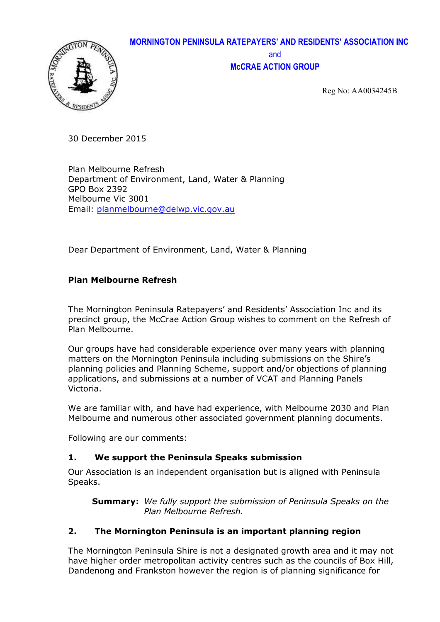

# **MORNINGTON PENINSULA RATEPAYERS' AND RESIDENTS' ASSOCIATION INC** and **McCRAE ACTION GROUP**

Reg No: AA0034245B

30 December 2015

Plan Melbourne Refresh Department of Environment, Land, Water & Planning GPO Box 2392 Melbourne Vic 3001 Email: planmelbourne@delwp.vic.gov.au

Dear Department of Environment, Land, Water & Planning

## **Plan Melbourne Refresh**

The Mornington Peninsula Ratepayers' and Residents' Association Inc and its precinct group, the McCrae Action Group wishes to comment on the Refresh of Plan Melbourne.

Our groups have had considerable experience over many years with planning matters on the Mornington Peninsula including submissions on the Shire's planning policies and Planning Scheme, support and/or objections of planning applications, and submissions at a number of VCAT and Planning Panels Victoria.

We are familiar with, and have had experience, with Melbourne 2030 and Plan Melbourne and numerous other associated government planning documents.

Following are our comments:

## **1. We support the Peninsula Speaks submission**

Our Association is an independent organisation but is aligned with Peninsula Speaks.

**Summary:** *We fully support the submission of Peninsula Speaks on the Plan Melbourne Refresh.*

## **2. The Mornington Peninsula is an important planning region**

The Mornington Peninsula Shire is not a designated growth area and it may not have higher order metropolitan activity centres such as the councils of Box Hill, Dandenong and Frankston however the region is of planning significance for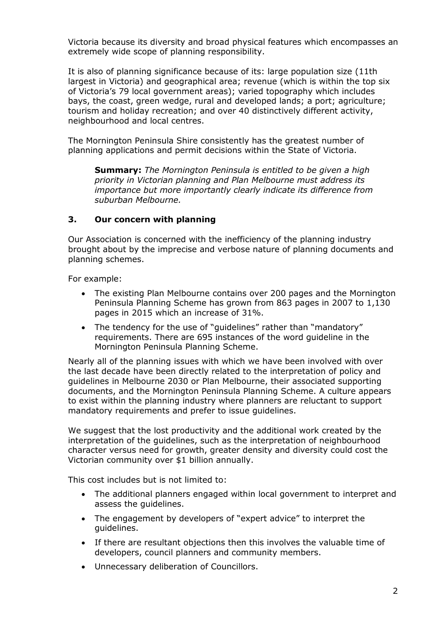Victoria because its diversity and broad physical features which encompasses an extremely wide scope of planning responsibility.

It is also of planning significance because of its: large population size (11th largest in Victoria) and geographical area; revenue (which is within the top six of Victoria's 79 local government areas); varied topography which includes bays, the coast, green wedge, rural and developed lands; a port; agriculture; tourism and holiday recreation; and over 40 distinctively different activity, neighbourhood and local centres.

The Mornington Peninsula Shire consistently has the greatest number of planning applications and permit decisions within the State of Victoria.

**Summary:** *The Mornington Peninsula is entitled to be given a high priority in Victorian planning and Plan Melbourne must address its importance but more importantly clearly indicate its difference from suburban Melbourne.*

#### **3. Our concern with planning**

Our Association is concerned with the inefficiency of the planning industry brought about by the imprecise and verbose nature of planning documents and planning schemes.

For example:

- The existing Plan Melbourne contains over 200 pages and the Mornington Peninsula Planning Scheme has grown from 863 pages in 2007 to 1,130 pages in 2015 which an increase of 31%.
- The tendency for the use of "guidelines" rather than "mandatory" requirements. There are 695 instances of the word guideline in the Mornington Peninsula Planning Scheme.

Nearly all of the planning issues with which we have been involved with over the last decade have been directly related to the interpretation of policy and guidelines in Melbourne 2030 or Plan Melbourne, their associated supporting documents, and the Mornington Peninsula Planning Scheme. A culture appears to exist within the planning industry where planners are reluctant to support mandatory requirements and prefer to issue guidelines.

We suggest that the lost productivity and the additional work created by the interpretation of the guidelines, such as the interpretation of neighbourhood character versus need for growth, greater density and diversity could cost the Victorian community over \$1 billion annually.

This cost includes but is not limited to:

- The additional planners engaged within local government to interpret and assess the guidelines.
- The engagement by developers of "expert advice" to interpret the guidelines.
- If there are resultant objections then this involves the valuable time of developers, council planners and community members.
- Unnecessary deliberation of Councillors.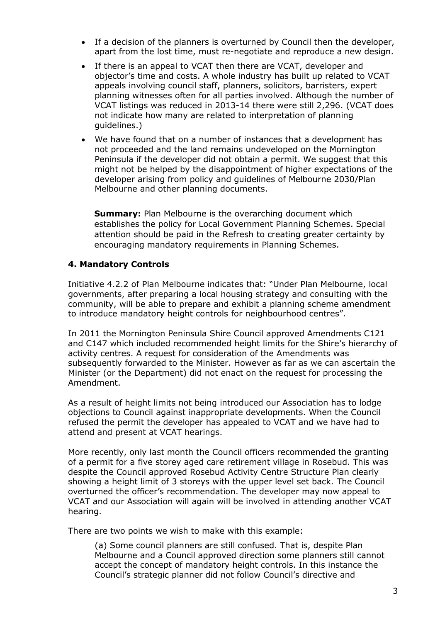- If a decision of the planners is overturned by Council then the developer, apart from the lost time, must re-negotiate and reproduce a new design.
- If there is an appeal to VCAT then there are VCAT, developer and objector's time and costs. A whole industry has built up related to VCAT appeals involving council staff, planners, solicitors, barristers, expert planning witnesses often for all parties involved. Although the number of VCAT listings was reduced in 2013-14 there were still 2,296. (VCAT does not indicate how many are related to interpretation of planning guidelines.)
- We have found that on a number of instances that a development has not proceeded and the land remains undeveloped on the Mornington Peninsula if the developer did not obtain a permit. We suggest that this might not be helped by the disappointment of higher expectations of the developer arising from policy and guidelines of Melbourne 2030/Plan Melbourne and other planning documents.

**Summary: Plan Melbourne is the overarching document which** establishes the policy for Local Government Planning Schemes. Special attention should be paid in the Refresh to creating greater certainty by encouraging mandatory requirements in Planning Schemes.

#### **4. Mandatory Controls**

Initiative 4.2.2 of Plan Melbourne indicates that: "Under Plan Melbourne, local governments, after preparing a local housing strategy and consulting with the community, will be able to prepare and exhibit a planning scheme amendment to introduce mandatory height controls for neighbourhood centres".

In 2011 the Mornington Peninsula Shire Council approved Amendments C121 and C147 which included recommended height limits for the Shire's hierarchy of activity centres. A request for consideration of the Amendments was subsequently forwarded to the Minister. However as far as we can ascertain the Minister (or the Department) did not enact on the request for processing the Amendment.

As a result of height limits not being introduced our Association has to lodge objections to Council against inappropriate developments. When the Council refused the permit the developer has appealed to VCAT and we have had to attend and present at VCAT hearings.

More recently, only last month the Council officers recommended the granting of a permit for a five storey aged care retirement village in Rosebud. This was despite the Council approved Rosebud Activity Centre Structure Plan clearly showing a height limit of 3 storeys with the upper level set back. The Council overturned the officer's recommendation. The developer may now appeal to VCAT and our Association will again will be involved in attending another VCAT hearing.

There are two points we wish to make with this example:

(a) Some council planners are still confused. That is, despite Plan Melbourne and a Council approved direction some planners still cannot accept the concept of mandatory height controls. In this instance the Council's strategic planner did not follow Council's directive and